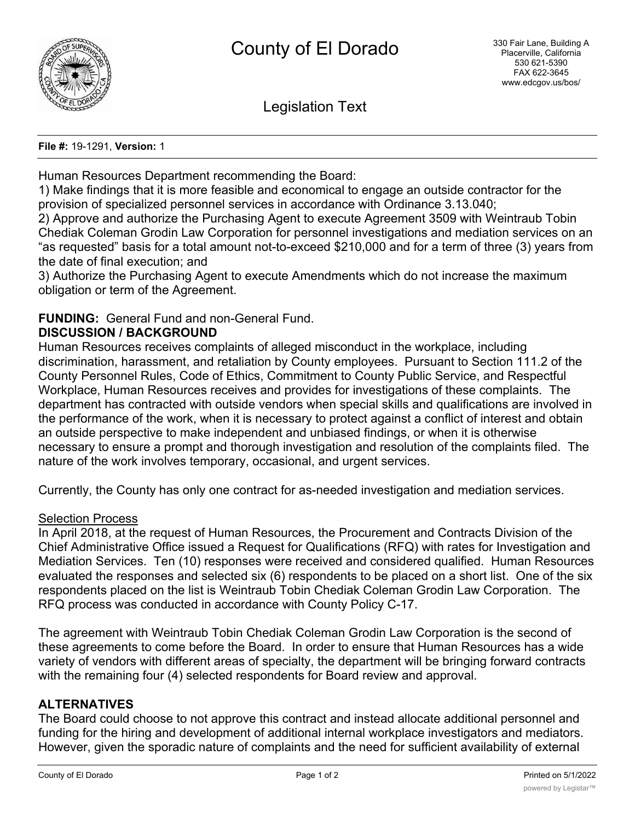

Legislation Text

**File #:** 19-1291, **Version:** 1

Human Resources Department recommending the Board:

1) Make findings that it is more feasible and economical to engage an outside contractor for the provision of specialized personnel services in accordance with Ordinance 3.13.040;

2) Approve and authorize the Purchasing Agent to execute Agreement 3509 with Weintraub Tobin Chediak Coleman Grodin Law Corporation for personnel investigations and mediation services on an "as requested" basis for a total amount not-to-exceed \$210,000 and for a term of three (3) years from the date of final execution; and

3) Authorize the Purchasing Agent to execute Amendments which do not increase the maximum obligation or term of the Agreement.

# **FUNDING:** General Fund and non-General Fund.

### **DISCUSSION / BACKGROUND**

Human Resources receives complaints of alleged misconduct in the workplace, including discrimination, harassment, and retaliation by County employees. Pursuant to Section 111.2 of the County Personnel Rules, Code of Ethics, Commitment to County Public Service, and Respectful Workplace, Human Resources receives and provides for investigations of these complaints. The department has contracted with outside vendors when special skills and qualifications are involved in the performance of the work, when it is necessary to protect against a conflict of interest and obtain an outside perspective to make independent and unbiased findings, or when it is otherwise necessary to ensure a prompt and thorough investigation and resolution of the complaints filed. The nature of the work involves temporary, occasional, and urgent services.

Currently, the County has only one contract for as-needed investigation and mediation services.

#### Selection Process

In April 2018, at the request of Human Resources, the Procurement and Contracts Division of the Chief Administrative Office issued a Request for Qualifications (RFQ) with rates for Investigation and Mediation Services. Ten (10) responses were received and considered qualified. Human Resources evaluated the responses and selected six (6) respondents to be placed on a short list. One of the six respondents placed on the list is Weintraub Tobin Chediak Coleman Grodin Law Corporation. The RFQ process was conducted in accordance with County Policy C-17.

The agreement with Weintraub Tobin Chediak Coleman Grodin Law Corporation is the second of these agreements to come before the Board. In order to ensure that Human Resources has a wide variety of vendors with different areas of specialty, the department will be bringing forward contracts with the remaining four (4) selected respondents for Board review and approval.

# **ALTERNATIVES**

The Board could choose to not approve this contract and instead allocate additional personnel and funding for the hiring and development of additional internal workplace investigators and mediators. However, given the sporadic nature of complaints and the need for sufficient availability of external